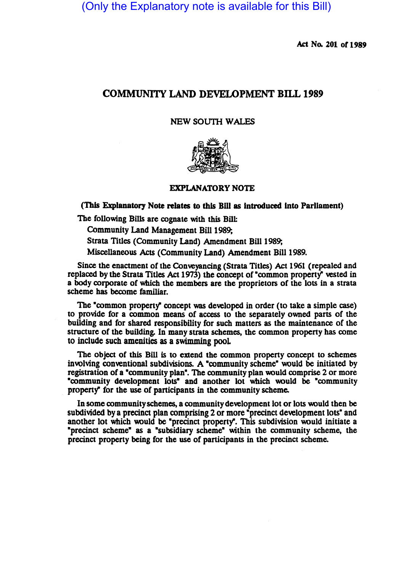(Only the Explanatory note is available for this Bill)

Act No. 201 or 1989

# COMMUNITY LAND DEVELOPMENT BILL 1989

## NEW SOUTH WALES



## EXPLANATORY NOTE

(This Explanatory Note relates to this Bill as introduced into Parliament)

The following Bills are cognate with this Bill:

Community Land Management Bill 1989;

Strata Titles (Community Land) Amendment Bill 1989;

Miscellaneous Acts (Community Land) Amendment Bill 1989.

Since the enactment of the Conveyancing (Strata Titles) Act 1961 (repealed and replaced by the Strata Titles Act 1973) the concept of "common property" vested in a body corporate of which the members are the proprietors of the lots in a strata scheme has become familiar.

The "common property" concept was developed in order (to take a simple case) to provide for a common means of access to the separately owned parts of the building and for shared responsibility for such matters as the maintenance of the structure of the building. In many strata schemes, the common propeny has come to include such amenities as a swimming pooL

The object of this Bill is to extend the common propeny concept to schemes involving conventional subdivisions. A "community scheme" would be initiated by registration of a "community plan". The community plan would comprise 2 or more ·community development lots- and another lot which would be ·community property" for the use of participants in the community scheme.

In some community schemes, a community development lot or lots would then be subdivided by a precinct plan comprising 2 or more "precinct development lots" and another lot which would be "precinct property". This subdivision would initiate a ·precinct scheme" as a ·subsidiary scheme" within the community scheme, the precinct property being for the use of participants in the precinct scheme.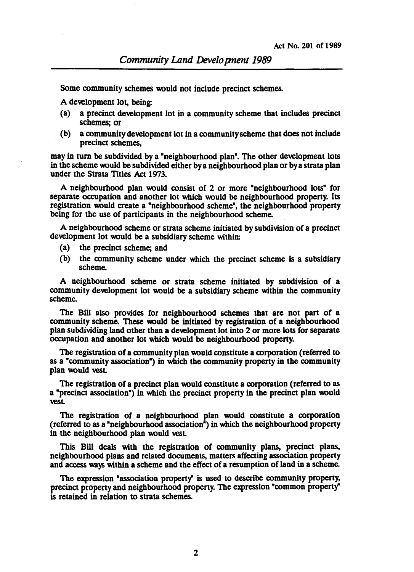Some community schemes would not include precinct schemes.

A development lot, being:

- (a) a precinct development lot in a community scheme that includes precinct schemes; or
- (b) a community development lot in a community scheme that does not include precinct schemes,

may in turn. be subdivided by a "neighbourhood plan". The other development lots in the scheme would be subdivided either by a neighbourhood plan or by a strata plan under the Strata Titles Act 1973.

A neighbourhood plan would consist of 2 or more "neighbourhood lots" for separate occupation and another lot which would be neighbourhood propeny. Its registration would create a "neighbourhood scheme", the neighbourhood propeny being for the use of participants in the neighbourhood scheme.

A neighbourhood scheme or strata scheme initiated by subdivision of a precinct development lot would be a subsidiary scheme within:

- (a) the precinct scheme; and
- (b) the community scheme under which the precinct scheme is a subsidiary scheme.

A neighbourhood scheme or strata scheme initiated by subdivision of a community development lot would be a subsidiary scheme within the community scheme.

The Bill also provides for neighbourhood schemes that are not part of a community scheme. These would be initiated by registration of a neighbourhood plan subdividing land other than a development lot into 2 or more lots for separate occupation and another lot which would be neighbourhood propeny.

The registration of a community plan would constitute a corporation (referred to as a "community association") in which the community propeny in the community plan would vesL

The registration of a precinct plan would constitute a corporation (referred to as a "precinct association") in which the precinct property in the precinct plan would vesL

The registration of a neighbourhood plan would constitute a corporation (referred to as a "neighbourhood association") in which the neighbourhood property in the neighbourhood plan would vesL

This Bill deals with the registration of community plans, precinct plans, neighbourhood plans and related documents, matters affecting association propeny and access ways within a scheme and the effect of a resumption of land in a scheme.

The expression "association property" is used to describe community property, precinct property and neighbourhood property. The expression "common property" is retained in relation to strata schemes.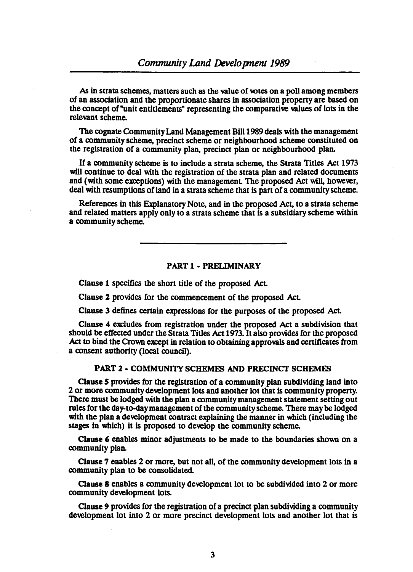As in strata schemes, matters such as the value of votes on a poll among members of an association and the proportionate shares in association property are based on the concept of "unit entitlements" representing the comparative values of lots in the relevant scheme.

The cognate Community Land Management Bill 1989 deals with the management of a community scheme, precinct scheme or neighbourhood scheme constituted on the registration of a community plan, precinct plan or neighbourhood plan.

If a community scheme is to include a strata scheme, the Strata Titles Act 1973 will continue to deal with the registration of the strata plan and related documents and (with some exceptions) with the managemenL The proposed Act will, however, deal with resumptions of land in a strata scheme that is part of a community scheme.

References in this Explanatory Note, and in the proposed Act, to a strata scheme and related matters apply only to a strata scheme that is a subsidiary scheme within a community scheme.

## PART 1 - PRELIMINARY

Clause 1 specifies the short title of the proposed AcL

Clause 2 provides for the commencement of the proposed AcL

Clause 3 defines certain expressions for the purposes of the proposed AcL

Clause 4 excludes from registration under the proposed Act a subdivision that should be effected under the Strata Titles Act 1973. It also provides for the proposed Act to bind the Crown except in relation to obtaining approvals and certificates from a consent authority (local council).

### PART 2 • COMMUNITY SCHEMES AND PRECINCT SCHEMES

Clause 5 provides for the registration of a community plan subdividing land into 2 or more community development lots and another lot that is community property. There must be lodged with the plan a community management statement setting out rules for the day-to-day management of the community scheme. There may be lodged with the plan a development contract explaining the manner in which (including the stages in which) it is proposed to develop the community scheme.

Clause 6 enables minor adjustments to be made to the boundaries shown on a community plan.

Clause 7 enables 2 or more, but not all, of the community development lots in a community plan to be consolidated.

Clause 8 enables a community development lot to be subdivided into 2 or more community development lots.

Clause 9 provides for the registration of a precinct plan subdividing a community development lot into 2 or more precinct development lots and another lot that is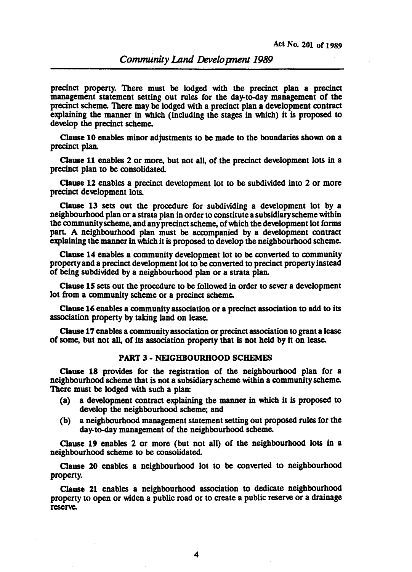precinct propeny. There must be lodged with the precinct plan a precinct management statement setting out rules for the day-to-day management of the precinct scheme. There may be lodged with a precinct plan a development contract explaining the manner in which (including the stages in which) it is proposed to develop the precinct scheme.

Clause 10 enables minor adjustments to be made to the boundaries shown on a precinct plan.

Clause 11 enables 2 or more, but not all, of the precinct development lots in a precinct plan to be consolidated.

Clause 12 enables a precinct develppment lot to be subdivided into 2 or more precinct development lots.

Clause 13 sets out the procedure for subdividing a development lot by a neighbourhood plan or a strata plan in order to constitute a subsidiary scheme within the commuriityscheme, and any precinct scheme, of which the development lot forms pan. A neighbourhood plan must be accompanied by a development contract explaining the manner in which it is proposed to develop the neighbourhood scheme.

Clause 14 enables a community development lot to be convened to community propenyand a precinct development lot to be convened to precinct propeny instead of being subdivided by a neighbourhood plan or a strata plan.

Clause 15 sets out the procedure to be followed in order to sever a development lot from a community scheme or a precinct scheme.

Clause 16 enables a community association or a precinct association to add to its association propeny by taking land on lease.

Clause 17 enables a community association or precinct association to grant a lease of some, but not all, of its association property that is not held by it on lease.

#### PART 3 • NEIGHBOURHOOD SCHEMES

Clause 18 provides for the registration of the neighbourhood plan for a neighbourhood scheme that is not a subsidiary scheme within a community scheme. There must be lodged with such a plan:

- (a) a development contract explaining the manner in which it is proposed to develop the neighbourhood scheme; and
- (b) a neighbourhood management statement setting out proposed rules for the day-to-day management of the neighbourhood scheme.

Clause 19 enables 2 or more (but not all) of the neighbourhood lots in a neighbourhood scheme to be consolidated.

Clause 20 enables a neighbourhood lot to be convened to neighbourhood property.

Clause 21 enables a neighbourhood association to dedicate neighbourhood property to open or widen a public road or to create a public reserve or a drainage reserve.

4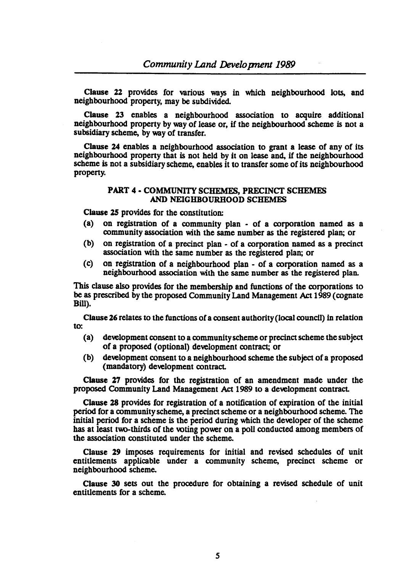Clause 22 provides for various ways in which neighbourhood lots, and neighbourhood property, may be subdivided.

Clause 23 enables a neighbourhood association to acquire additional neighbourhood property by way of lease or, if the neighbourhood scheme is not a subsidiary scheme, by way of transfer.

Clause 24 enables a neighbourhood association to grant a lease of any of its neighbourhood property that is not held by it on lease and, if the neighbourhood scheme is not a subsidiary scheme, enables it to transfer some of its neighbourhood property.

#### PART 4 • COMMUNITY SCHEMES, PRECINCT SCHEMES AND NEIGHBOURHOOD SCHEMES

Clause 25 provides for the constitution:

- (a) on registration of a community plan· of a oorporation named as a oommunity association with the same number as the registered plan; or
- (b) on registration of a precinct plan of a oorporation named as a precinct association with the same number as the registered plan; or
- (c) on registration of a neighbourhood plan of a oorporation named as a neighbourhood association with the same number as the registered plan.

This clause also provides for the membership and functions of the oorporations to be as prescribed by the proposed Community Land Management Act 1989 (cognate Bill).

Clause 26 relates to the functions of a consent authority (local council) in relation to:

- (a) development oonsent to a community scheme or precinct scheme the SUbject of a proposed (optional) development oontract; or
- (b) development oonsent to a neighbourhood scheme the subject of a proposed (mandatory) development oontract.

Clause 27 provides for the registration of an amendment made under the proposed Community Land Management Act 1989 to a development oontract.

Clause 28 provides for registration of a notification of expiration of the initial period for a oommunity scheme, a precinct scheme or a neighbourhood scheme. The initial period for a scheme is the period during which the developer of the scheme has at least two-thirds of the voting power on a poll conducted among members of the association constituted under the scheme.

Clause 29 imposes requirements for initial and revised schedules of unit entitlements applicable under a community scheme, precinct scheme or neighbourhood scheme.

Clause 30 sets out the procedure for obtaining a revised schedule of unit entitlements for a scheme.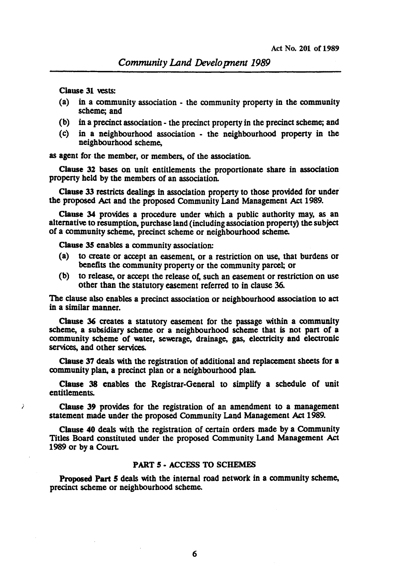Clause 31 vests:

- (a) in a community association the community property in the community scheme; and
- (b) in a precinct association the precinct property in the precinct scheme; and
- (c) in a neighbourhood association the neighbourhood property in the neighbourhood scheme,

as agent for the member, or members, of the association.

Clause 32 bases on unit entitlements the proportionate share in association property held by the members of an association.

Clause 33 restricts dealings in association property to those provided for under the proposed Act and the proposed Community Land Management Act 1989.

Clause 34 provides a procedure under which a public authority may, as an alternative to resumption, purchase land (including association property) the subject of a community scheme, precinct scheme or neighbourhood scheme.

Clause 35 enables a community association:

- (a) to create or accept an easement, or a restriction on use, that burdens or benefits the community property or the community parcel; or
- (b) to release, or accept the release of, such an casement or restriction on use other than the statutory easement referred to in clause 36.

The clause also enables a precinct association or neighbourhood association to act in a similar manner.

Clause 36 creates a statutory easement for the passage within a community scheme, a subsidiary scheme or a neighbourhood scheme that is not part of a community scheme of water, sewerage, drainage, gas, electricity and electronic services, and other services.

Clause 37 deals with the registration of additional and replacement sheets for a community plan, a precinct plan or a neighbourhood plan.

Clause 38 enables the Registrar-General to simplify a schedule of unit entitlements.

) Clause 39 provides for the registration of an amendment to a management statement made under the proposed Community Land Management Act 1989.

Clause 40 deals with the registration of certain orders made by a Community Titles Board constituted under the proposed Community Land Management Act 1989 or by a Court.

## PART 5 - ACCESS TO SCHEMES

Proposed Part 5 deals with the internal road network in a community scheme, precinct scheme or neighbourhood scheme.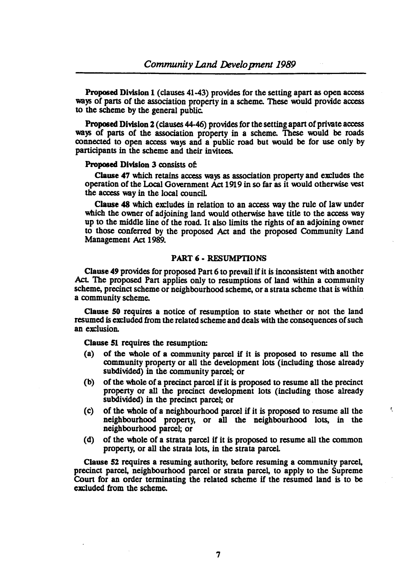Proposed Division 1 (clauses 41-43) provides for the setting apart as open access ways of parts of the association property in a scheme. These would provide access to the scheme by the general public.

Proposed Division *1* (clauses 44-46) provides for the setting apart of private access ways of parts of the association property in a scheme. These would be roads connected to open access ways and a public road but would be for use only by participants in the scheme and their invitees.

#### Proposed Division 3 consists of:

Clause 47 which retains access ways as association property and excludes the operation of the Loca1 Government Act 1919 in so far as it \\{)uld otherwise vest the access way in the local counciL

Clause 48 which excludes in relation to an access way the rule of law under which the owner of adjoining land would otherwise have title to the access way up to the middle line of the road. It also limits the rights of an adjoining owner to those conferred by the proposed Act and the proposed Community Land Management Act 1989.

#### PART 6 - RESUMPTIONS

Clause 49 provides for proposed Part 6 to prevail if it is inconsistent with another Act. The proposed Part applies only to resumptions of land within a community scheme, precinct scheme or neighbourhood scheme, or a strata scheme that is within a community scheme.

Clause 50 requires a notice of resumption to state whether or not the land resumed is excluded from the related scheme and deals with the consequences of such an exclusion.

Clause 51 requires the resumption:

- (a) of the whole of a community parcel if it is proposed to resume all the community property or all the development lots (including those already subdivided) in the community parcel; or
- (b) of the whole of a precinct parcel if it is proposed to resume all the precinct property or all the precinct development lots (including those already subdivided) in the precinct parcel; or
- (c) of the whole of a neighbourhood parcel if it is proposed to resume all the neighbourhood property, or all the neighbourhood lots, in the neighbourhood parcel; or

'.

(d) of the whole of a strata parcel if it is proposed to resume all the common property, or all the strata lots, in the strata parceL

Clause 52 requires a resuming authority, before resuming a community parcel, precinct parcel, neighbourhood parcel or strata parcel, to apply to the Supreme Court for an order terminating the related scheme if the resumed land is to be excluded from the scheme.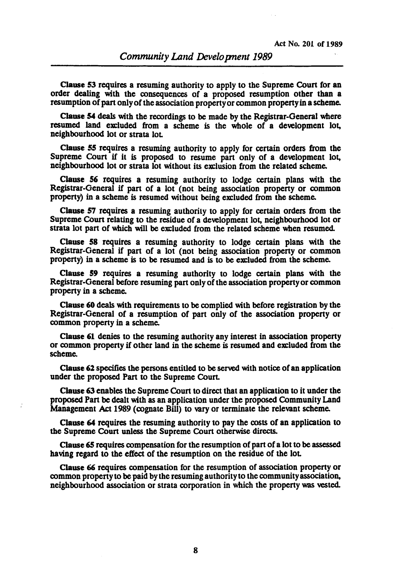Clause S3 requires a resuming authority to apply to the Supreme Court for an order dealing with the consequences of a proposed resumption other than a resumption of part only of the association property or common property in a scheme.

Clause 54 deals with the recordings to be made by the Registrar-General where resumed land excluded from a scheme is the whole of a development lot, neighbourhood lot or strata lot

Clause *55* requires a resuming authority to apply for certain orders from the Supreme Court if it is proposed to resume part only of a development lot, neighbourhood lot or strata lot without its exclusion from the related scheme.

Clause 56 requires a resuming authority to lodge certain plans with the Registrar-General if part of a lot (not being association property or common property) in a scheme is resumed without being excluded from the scheme.

Clause 57 requires a resuming authorily to apply for certain orders from the Supreme Court relating to the residue of a development lot, neighbourhood lot or strata lot part of which will be excluded from the related scheme when resumed.

Clause *58* requires a resuming authority to lodge certain plans with the Registrar-General if part of a lot (not being association property or common property) in a scheme is to be resumed and is to be excluded from the scheme.

Clause 59 requires a resuming authority to lodge certain plans with the Registrar-General before resuming part only of the association property or common property in a scheme.

Clause 60 deals with requirements to be complied with before registration by the Registrar-General of a resumption of part only of the association property or common property in a scheme.

Clause 61 denies to the resuming authority any interest in association property or common property if other land in the scheme is resumed and excluded from the scheme.

Clause 61 specifies the persons entitled to be served with notice of an application under the proposed Part to the Supreme Court.

Clause 63 enables the Supreme Court to direct that an application to it under the proposed Part be dealt with as an application under the proposed Community Land Management Act 1989 (cognate Bill) to vary or terminate the relevant scheme.

Clause 64 requires the resuming authority to pay the costs of an application to the Supreme Court unless the Supreme Court otherwise directs.

Clause 65 requires compensation for the resumption of part of a lot to be assessed having regard to the effect of the resumption on the residue of the lot

Clause 66 requires compensation for the resumption of association property or common property to be paid by the resuming authority to the community association, neighbourhood association or strata corporation in which the property was vested.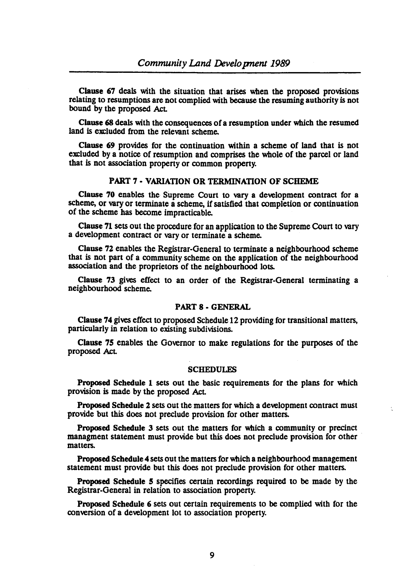Clause 67 deals with the situation that arises when the proposed provisions relating to resumptions are not oomplied with because the resuming authority is not bound by the proposed AcL

Clause 68 deals with the oonsequences of a resumption under which the resumed land is excluded from the relevant scheme.

Clause 69 provides for the continuation within a scheme of land that is not excluded by a notice of resumption and oomprises the whole of the parcel or land that is not association propeny or oommon propeny.

## PART 7 • VARIATION OR TERMINATION OF SCHEME

Clause 70 enables the Supreme Court to vary a development contract for a scheme, or vary or terminate a scheme, if satisfied that completion or continuation of the scheme has become impracticable.

Clause 71 sets out the procedure for an application to the Supreme Court to vary a dewlopment oontract or wry or terminate a scheme.

Clause 72 enables the Registrar-General to terminate a neighbourhood scheme that is not part of a oommunity scheme on the application of the neighbourhood association and the proprietors of the neighbourhood lots.

Clause 73 gives effect to an order of the Registrar-General terminating a neighbourhood scheme.

#### PART 8· GENERAL

Clause 74 gives effect to proposed Schedule 12 providing for transitional matters, panicularly in relation to existing subdivisions.

Clause 75 enables the Governor to make regulations for the purposes of the proposed AcL

#### SCHEDULES

Proposed Schedule 1 sets out the basic requirements for the plans for which provision is made by the proposed AcL

Proposed Schedule 2 sets out the matters for which a development contract must provide but this does not preclude provision for other matters.

Proposed Schedule 3 sets out the matters for which a community or precinct managment statement must provide but this does not preclude provision for other matters.

Proposed Schedule 4 sets out the matters for which a neighbourhood management statement must provide but this does not preclude provision for other matters.

Proposed Schedule 5 specifies certain recordings required to be made by the Registrar-General in relation to association propeny.

Proposed Schedule 6 sets out certain requirements to be complied with for the conversion of a development lot to association property.